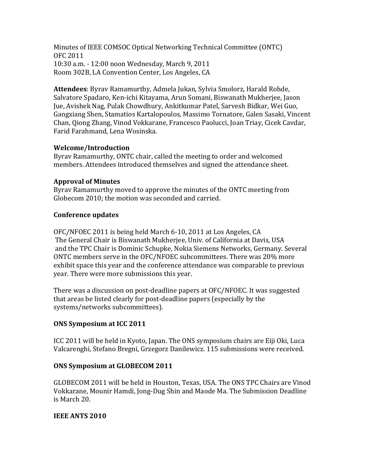Minutes of IEEE COMSOC Optical Networking Technical Committee (ONTC) OFC 2011 10:30 a.m. - 12:00 noon Wednesday, March 9, 2011 Room 302B, LA Convention Center, Los Angeles, CA

Attendees: Byrav Ramamurthy, Admela Jukan, Sylvia Smolorz, Harald Rohde. Salvatore Spadaro, Ken-ichi Kitayama, Arun Somani, Biswanath Mukherjee, Jason Jue, Avishek Nag, Pulak Chowdhury, Ankitkumar Patel, Sarvesh Bidkar, Wei Guo, Gangxiang Shen, Stamatios Kartalopoulos, Massimo Tornatore, Galen Sasaki, Vincent Chan, Qiong Zhang, Vinod Vokkarane, Francesco Paolucci, Joan Triay, Cicek Cavdar, Farid Farahmand, Lena Wosinska.

## **Welcome/Introduction**

Byrav Ramamurthy, ONTC chair, called the meeting to order and welcomed members. Attendees introduced themselves and signed the attendance sheet.

# **Approval of Minutes**

Byrav Ramamurthy moved to approve the minutes of the ONTC meeting from Globecom 2010; the motion was seconded and carried.

## **Conference updates**

OFC/NFOEC 2011 is being held March 6-10, 2011 at Los Angeles, CA The General Chair is Biswanath Mukherjee, Univ. of California at Davis, USA and the TPC Chair is Dominic Schupke, Nokia Siemens Networks, Germany. Several ONTC members serve in the OFC/NFOEC subcommittees. There was 20% more exhibit space this year and the conference attendance was comparable to previous year. There were more submissions this year.

There was a discussion on post-deadline papers at OFC/NFOEC. It was suggested that areas be listed clearly for post-deadline papers (especially by the systems/networks subcommittees).

# **ONS Symposium at ICC 2011**

ICC 2011 will be held in Kyoto, Japan. The ONS symposium chairs are Eiji Oki, Luca Valcarenghi, Stefano Bregni, Grzegorz Danilewicz. 115 submissions were received.

### **ONS Symposium at GLOBECOM 2011**

GLOBECOM 2011 will be held in Houston, Texas, USA. The ONS TPC Chairs are Vinod Vokkarane, Mounir Hamdi, Jong-Dug Shin and Maode Ma. The Submission Deadline is March 20. 

# **IEEE ANTS 2010**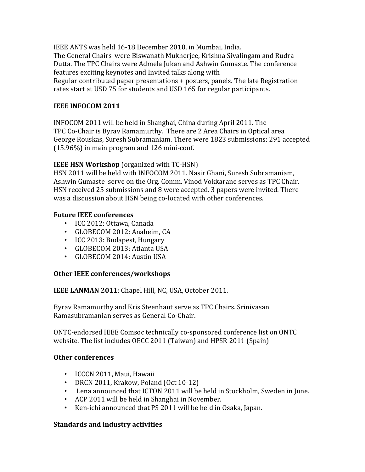IEEE ANTS was held 16-18 December 2010, in Mumbai, India. The General Chairs were Biswanath Mukherjee, Krishna Sivalingam and Rudra Dutta. The TPC Chairs were Admela Jukan and Ashwin Gumaste. The conference features exciting keynotes and Invited talks along with Regular contributed paper presentations  $+$  posters, panels. The late Registration

rates start at USD 75 for students and USD 165 for regular participants.

## **IEEE INFOCOM 2011**

INFOCOM 2011 will be held in Shanghai, China during April 2011. The TPC Co-Chair is Byrav Ramamurthy. There are 2 Area Chairs in Optical area George Rouskas, Suresh Subramaniam. There were 1823 submissions: 291 accepted  $(15.96\%)$  in main program and 126 mini-conf.

## **IEEE HSN Workshop** (organized with TC-HSN)

HSN 2011 will be held with INFOCOM 2011. Nasir Ghani, Suresh Subramaniam, Ashwin Gumaste serve on the Org. Comm. Vinod Vokkarane serves as TPC Chair. HSN received 25 submissions and 8 were accepted. 3 papers were invited. There was a discussion about HSN being co-located with other conferences.

## **Future IEEE conferences**

- ICC 2012: Ottawa, Canada
- GLOBECOM 2012: Anaheim, CA
- ICC 2013: Budapest, Hungary
- GLOBECOM 2013: Atlanta USA
- GLOBECOM 2014: Austin USA

### **Other IEEE conferences/workshops**

**IEEE LANMAN 2011**: Chapel Hill, NC, USA, October 2011.

Byray Ramamurthy and Kris Steenhaut serve as TPC Chairs. Srinivasan Ramasubramanian serves as General Co-Chair.

ONTC-endorsed IEEE Comsoc technically co-sponsored conference list on ONTC website. The list includes OECC 2011 (Taiwan) and HPSR 2011 (Spain)

### **Other conferences**

- ICCCN 2011, Maui, Hawaii
- DRCN 2011, Krakow, Poland (Oct 10-12)
- Lena announced that ICTON 2011 will be held in Stockholm, Sweden in June.
- ACP 2011 will be held in Shanghai in November.
- Ken-ichi announced that PS 2011 will be held in Osaka, Japan.

### **Standards and industry activities**